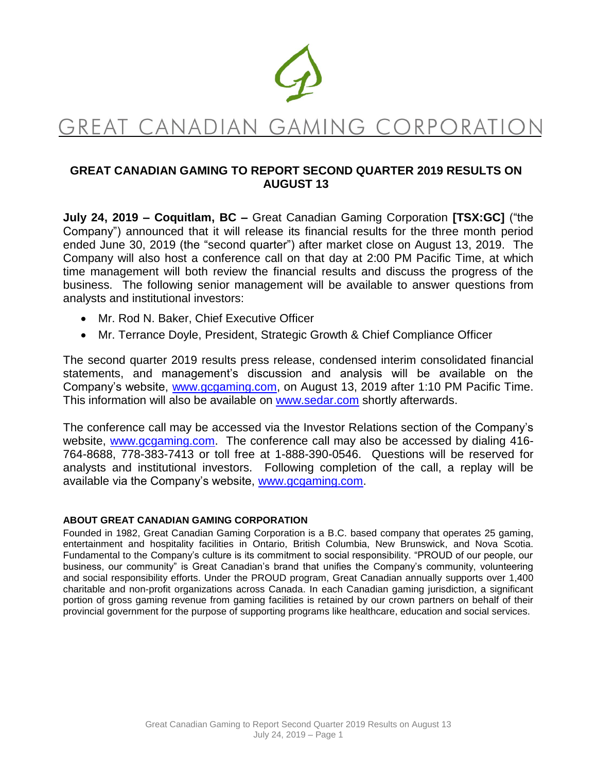

# GREAT CANADIAN GAMING CORPORATION

## **GREAT CANADIAN GAMING TO REPORT SECOND QUARTER 2019 RESULTS ON AUGUST 13**

**July 24, 2019 – Coquitlam, BC –** Great Canadian Gaming Corporation **[TSX:GC]** ("the Company") announced that it will release its financial results for the three month period ended June 30, 2019 (the "second quarter") after market close on August 13, 2019. The Company will also host a conference call on that day at 2:00 PM Pacific Time, at which time management will both review the financial results and discuss the progress of the business. The following senior management will be available to answer questions from analysts and institutional investors:

- Mr. Rod N. Baker, Chief Executive Officer
- Mr. Terrance Doyle, President, Strategic Growth & Chief Compliance Officer

The second quarter 2019 results press release, condensed interim consolidated financial statements, and management's discussion and analysis will be available on the Company's website, [www.gcgaming.com,](http://www.gcgaming.com/) on August 13, 2019 after 1:10 PM Pacific Time. This information will also be available on **www.sedar.com** shortly afterwards.

The conference call may be accessed via the Investor Relations section of the Company's website, [www.gcgaming.com.](http://www.gcgaming.com/) The conference call may also be accessed by dialing 416- 764-8688, 778-383-7413 or toll free at 1-888-390-0546. Questions will be reserved for analysts and institutional investors. Following completion of the call, a replay will be available via the Company's website, [www.gcgaming.com.](http://www.gcgaming.com/)

## **ABOUT GREAT CANADIAN GAMING CORPORATION**

Founded in 1982, Great Canadian Gaming Corporation is a B.C. based company that operates 25 gaming, entertainment and hospitality facilities in Ontario, British Columbia, New Brunswick, and Nova Scotia. Fundamental to the Company's culture is its commitment to social responsibility. "PROUD of our people, our business, our community" is Great Canadian's brand that unifies the Company's community, volunteering and social responsibility efforts. Under the PROUD program, Great Canadian annually supports over 1,400 charitable and non-profit organizations across Canada. In each Canadian gaming jurisdiction, a significant portion of gross gaming revenue from gaming facilities is retained by our crown partners on behalf of their provincial government for the purpose of supporting programs like healthcare, education and social services.